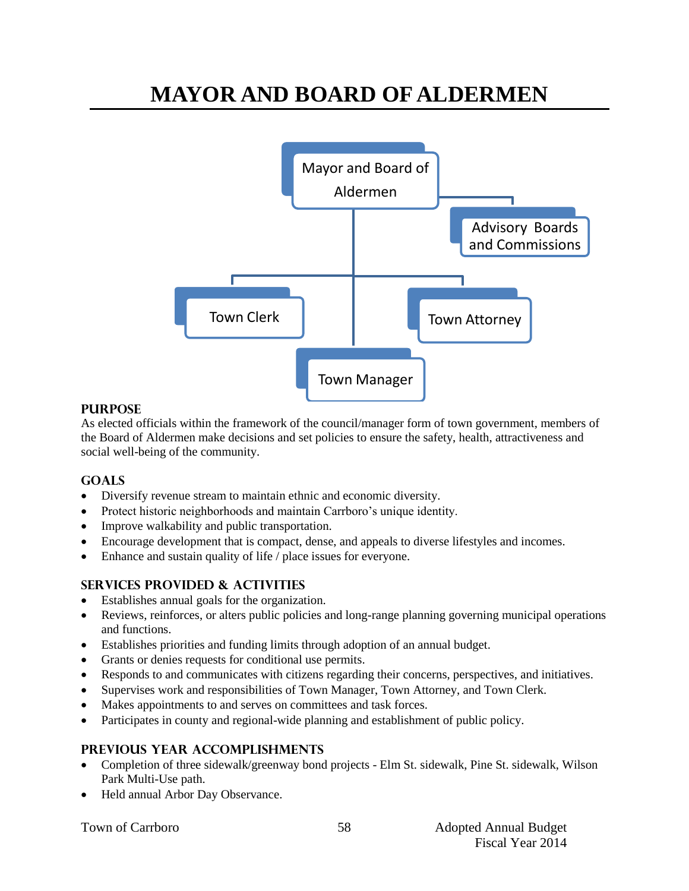## **MAYOR AND BOARD OF ALDERMEN**



#### **PURPOSE**

As elected officials within the framework of the council/manager form of town government, members of the Board of Aldermen make decisions and set policies to ensure the safety, health, attractiveness and social well-being of the community.

#### **Goals**

- Diversify revenue stream to maintain ethnic and economic diversity.
- Protect historic neighborhoods and maintain Carrboro's unique identity.
- Improve walkability and public transportation.
- Encourage development that is compact, dense, and appeals to diverse lifestyles and incomes.
- Enhance and sustain quality of life / place issues for everyone.

#### **Services provided & activities**

- Establishes annual goals for the organization.
- Reviews, reinforces, or alters public policies and long-range planning governing municipal operations and functions.
- Establishes priorities and funding limits through adoption of an annual budget.
- Grants or denies requests for conditional use permits.
- Responds to and communicates with citizens regarding their concerns, perspectives, and initiatives.
- Supervises work and responsibilities of Town Manager, Town Attorney, and Town Clerk.
- Makes appointments to and serves on committees and task forces.
- Participates in county and regional-wide planning and establishment of public policy.

#### **Previous year accomplishments**

- Completion of three sidewalk/greenway bond projects Elm St. sidewalk, Pine St. sidewalk, Wilson Park Multi-Use path.
- Held annual Arbor Day Observance.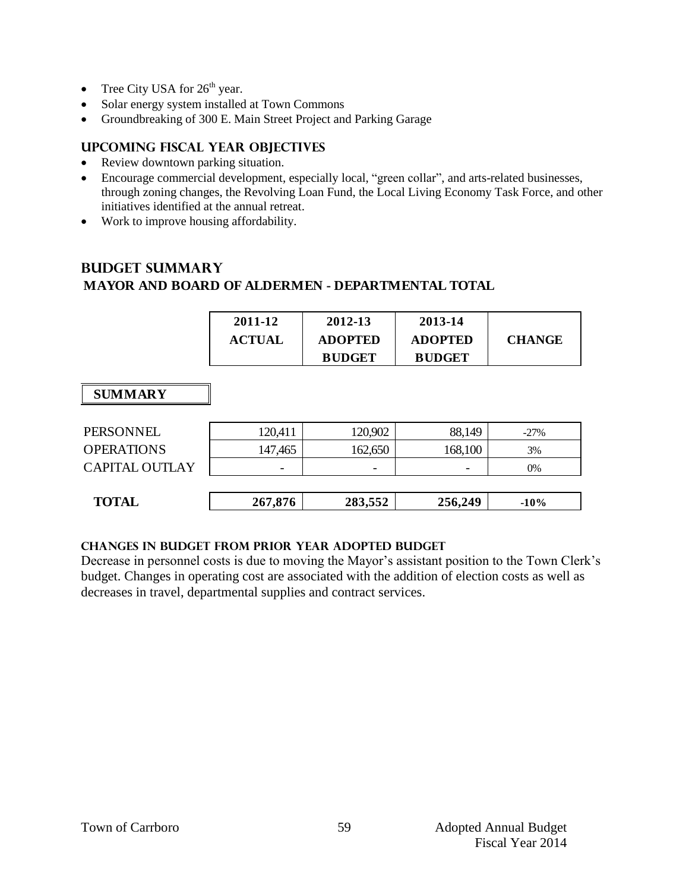- Tree City USA for  $26<sup>th</sup>$  year.
- Solar energy system installed at Town Commons
- Groundbreaking of 300 E. Main Street Project and Parking Garage

#### **Upcoming Fiscal year objectives**

- Review downtown parking situation.
- Encourage commercial development, especially local, "green collar", and arts-related businesses, through zoning changes, the Revolving Loan Fund, the Local Living Economy Task Force, and other initiatives identified at the annual retreat.
- Work to improve housing affordability.

## **Budget summary MAYOR AND BOARD OF ALDERMEN - DEPARTMENTAL TOTAL**

| <b>ADOPTED</b><br><b>ADOPTED</b><br><b>ACTUAL</b> | 2011-12 | 2012-13       | 2013-14       | <b>CHANGE</b> |
|---------------------------------------------------|---------|---------------|---------------|---------------|
|                                                   |         | <b>BUDGET</b> | <b>BUDGET</b> |               |

#### **SUMMARY**

| <b>TOTAL</b>      | 267,876 | 283,552 | 256,249                  | $-10\%$ |
|-------------------|---------|---------|--------------------------|---------|
| CAPITAL OUTLAY    |         | -       | $\overline{\phantom{0}}$ | 0%      |
| <b>OPERATIONS</b> | 147,465 | 162,650 | 168,100                  | 3%      |
| <b>PERSONNEL</b>  | 120,411 | 120,902 | 88,149                   | $-27\%$ |

#### **Changes in budget from prior year adopted budget**

Decrease in personnel costs is due to moving the Mayor's assistant position to the Town Clerk's budget. Changes in operating cost are associated with the addition of election costs as well as decreases in travel, departmental supplies and contract services.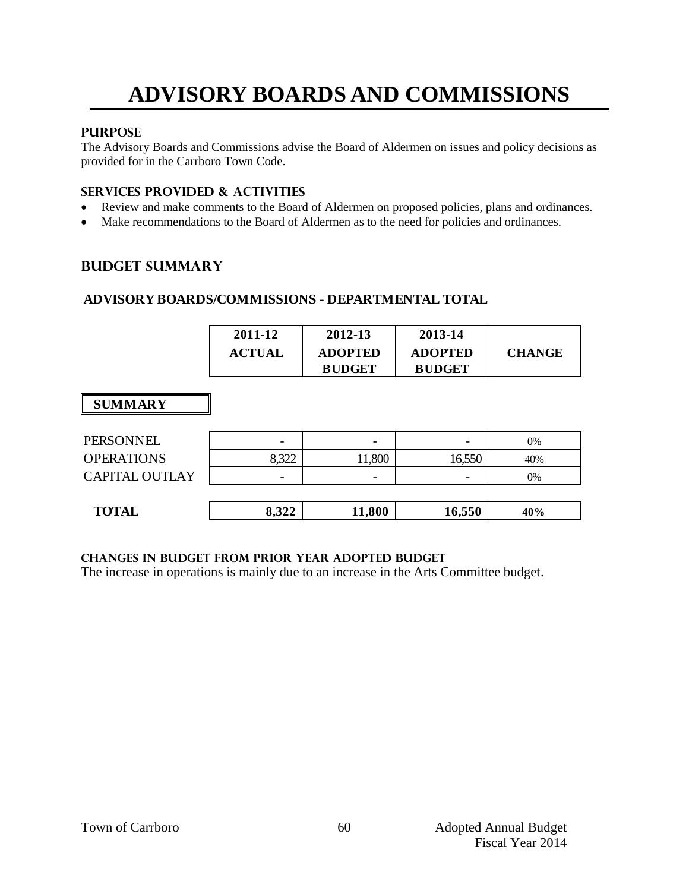## **ADVISORY BOARDS AND COMMISSIONS**

#### **PURPOSE**

The Advisory Boards and Commissions advise the Board of Aldermen on issues and policy decisions as provided for in the Carrboro Town Code.

#### **Services provided & activities**

- Review and make comments to the Board of Aldermen on proposed policies, plans and ordinances.
- Make recommendations to the Board of Aldermen as to the need for policies and ordinances.

#### **Budget summary**

#### **ADVISORY BOARDS/COMMISSIONS - DEPARTMENTAL TOTAL**

| 2011-12       | 2012-13        | 2013-14        |               |
|---------------|----------------|----------------|---------------|
| <b>ACTUAL</b> | <b>ADOPTED</b> | <b>ADOPTED</b> | <b>CHANGE</b> |
|               | <b>BUDGET</b>  | <b>BUDGET</b>  |               |

### **SUMMARY**

| <b>TOTAL</b>          | 8,322 | 11,800 | 16,550 | 40% |
|-----------------------|-------|--------|--------|-----|
|                       |       |        |        |     |
| <b>CAPITAL OUTLAY</b> | -     | -      | -      | 0%  |
| <b>OPERATIONS</b>     | 8,322 | 1,800  | 16,550 | 40% |
| PERSONNEL             | -     | -      | -      | 0%  |

#### **Changes in budget from prior year adopted budget**

The increase in operations is mainly due to an increase in the Arts Committee budget.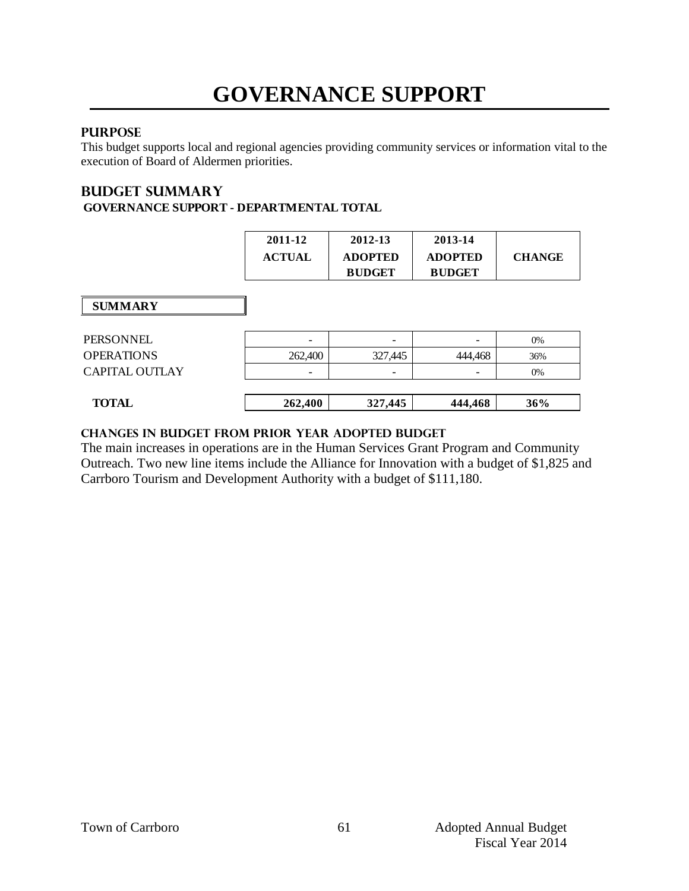## **GOVERNANCE SUPPORT**

### **PURPOSE**

This budget supports local and regional agencies providing community services or information vital to the execution of Board of Aldermen priorities.

#### **Budget summary GOVERNANCE SUPPORT - DEPARTMENTAL TOTAL**

|                       | 2011-12<br><b>ACTUAL</b> | 2012-13<br><b>ADOPTED</b><br><b>BUDGET</b> | 2013-14<br><b>ADOPTED</b><br><b>BUDGET</b> | <b>CHANGE</b> |
|-----------------------|--------------------------|--------------------------------------------|--------------------------------------------|---------------|
| <b>SUMMARY</b>        |                          |                                            |                                            |               |
| PERSONNEL             |                          | -                                          |                                            | 0%            |
| <b>OPERATIONS</b>     | 262,400                  | 327,445                                    | 444,468                                    | 36%           |
| <b>CAPITAL OUTLAY</b> |                          | -                                          |                                            | 0%            |
| <b>TOTAL</b>          | 262,400                  | 327,445                                    | 444,468                                    | 36%           |

#### **changes in budget from prior year adopted budget**

The main increases in operations are in the Human Services Grant Program and Community Outreach. Two new line items include the Alliance for Innovation with a budget of \$1,825 and Carrboro Tourism and Development Authority with a budget of \$111,180.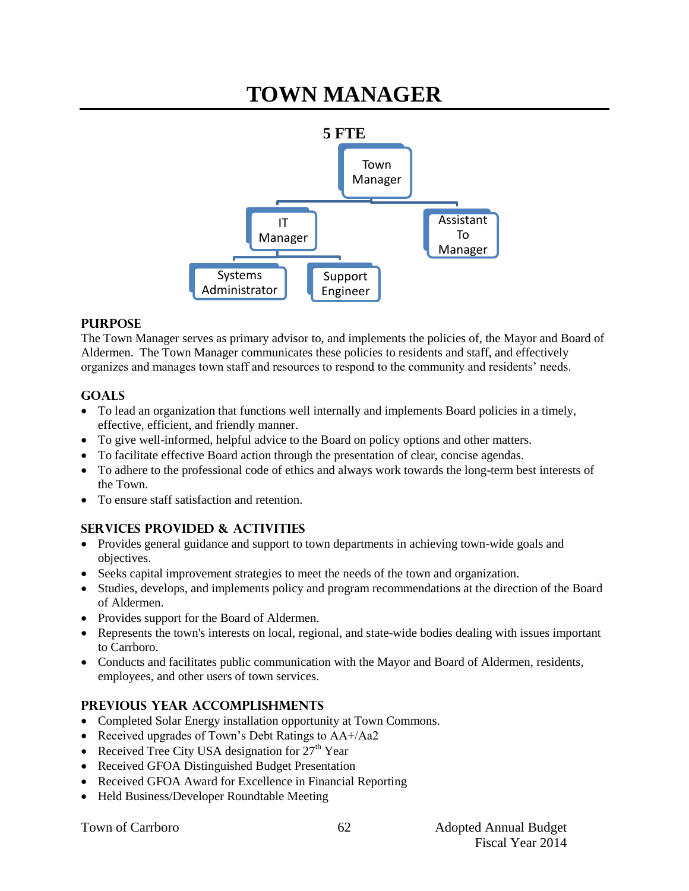## **TOWN MANAGER**



#### **PURPOSE**

The Town Manager serves as primary advisor to, and implements the policies of, the Mayor and Board of Aldermen. The Town Manager communicates these policies to residents and staff, and effectively organizes and manages town staff and resources to respond to the community and residents' needs.

#### **GOALS**

- To lead an organization that functions well internally and implements Board policies in a timely, effective, efficient, and friendly manner.
- To give well-informed, helpful advice to the Board on policy options and other matters.
- To facilitate effective Board action through the presentation of clear, concise agendas.
- To adhere to the professional code of ethics and always work towards the long-term best interests of the Town.
- To ensure staff satisfaction and retention.

## **SERVICES PROVIDED & ACTIVITIES**

- Provides general guidance and support to town departments in achieving town-wide goals and objectives.
- Seeks capital improvement strategies to meet the needs of the town and organization.
- Studies, develops, and implements policy and program recommendations at the direction of the Board of Aldermen.
- Provides support for the Board of Aldermen.
- Represents the town's interests on local, regional, and state-wide bodies dealing with issues important to Carrboro.
- Conducts and facilitates public communication with the Mayor and Board of Aldermen, residents, employees, and other users of town services.

#### **PREVIOUS YEAR ACCOMPLISHMENTS**

- Completed Solar Energy installation opportunity at Town Commons.
- Received upgrades of Town's Debt Ratings to AA+/Aa2
- Received Tree City USA designation for  $27<sup>th</sup>$  Year
- Received GFOA Distinguished Budget Presentation
- Received GFOA Award for Excellence in Financial Reporting
- Held Business/Developer Roundtable Meeting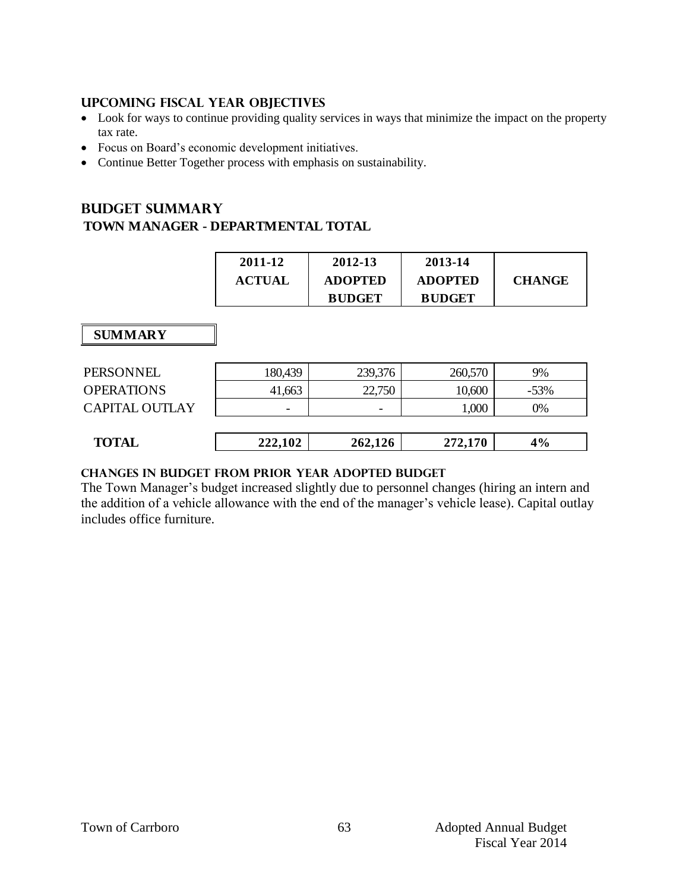#### **UPCOMING FISCAL YEAR OBJECTIVES**

- Look for ways to continue providing quality services in ways that minimize the impact on the property tax rate.
- Focus on Board's economic development initiatives.
- Continue Better Together process with emphasis on sustainability.

## **Budget summary TOWN MANAGER - DEPARTMENTAL TOTAL**

| 2011-12       | 2012-13        | 2013-14        |               |
|---------------|----------------|----------------|---------------|
| <b>ACTUAL</b> | <b>ADOPTED</b> | <b>ADOPTED</b> | <b>CHANGE</b> |
|               | <b>BUDGET</b>  | <b>BUDGET</b>  |               |

 **SUMMARY**

| PERSONNEL             | 180,439 | 239,376 | 260,570 | 9%     |
|-----------------------|---------|---------|---------|--------|
| <b>OPERATIONS</b>     | 41,663  | 22,750  | 10,600  | $-53%$ |
| <b>CAPITAL OUTLAY</b> | -       | -       | 1,000   | 0%     |
|                       |         |         |         |        |
| <b>TOTAL</b>          | 222,102 | 262,126 | 272,170 | 4%     |
|                       |         |         |         |        |

#### **Changes in budget from prior year adopted budget**

The Town Manager's budget increased slightly due to personnel changes (hiring an intern and the addition of a vehicle allowance with the end of the manager's vehicle lease). Capital outlay includes office furniture.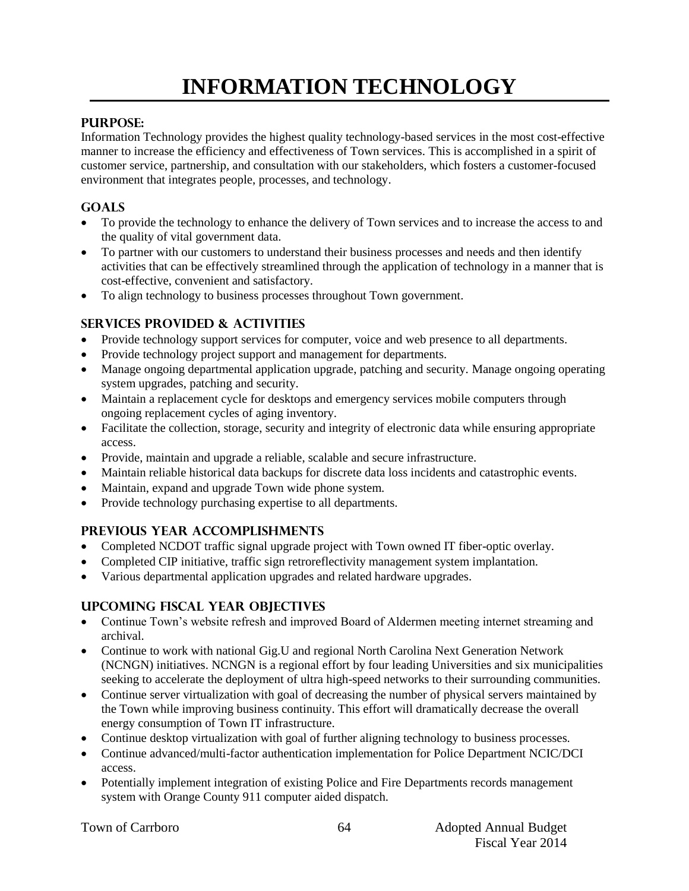# **INFORMATION TECHNOLOGY**

#### **PURPOSE:**

Information Technology provides the highest quality technology-based services in the most cost-effective manner to increase the efficiency and effectiveness of Town services. This is accomplished in a spirit of customer service, partnership, and consultation with our stakeholders, which fosters a customer-focused environment that integrates people, processes, and technology.

#### **Goals**

- To provide the technology to enhance the delivery of Town services and to increase the access to and the quality of vital government data.
- To partner with our customers to understand their business processes and needs and then identify activities that can be effectively streamlined through the application of technology in a manner that is cost-effective, convenient and satisfactory.
- To align technology to business processes throughout Town government.

#### **Services provided & activities**

- Provide technology support services for computer, voice and web presence to all departments.
- Provide technology project support and management for departments.
- Manage ongoing departmental application upgrade, patching and security. Manage ongoing operating system upgrades, patching and security.
- Maintain a replacement cycle for desktops and emergency services mobile computers through ongoing replacement cycles of aging inventory.
- Facilitate the collection, storage, security and integrity of electronic data while ensuring appropriate access.
- Provide, maintain and upgrade a reliable, scalable and secure infrastructure.
- Maintain reliable historical data backups for discrete data loss incidents and catastrophic events.
- Maintain, expand and upgrade Town wide phone system.
- Provide technology purchasing expertise to all departments.

#### **Previous year accomplishments**

- Completed NCDOT traffic signal upgrade project with Town owned IT fiber-optic overlay.
- Completed CIP initiative, traffic sign retroreflectivity management system implantation.
- Various departmental application upgrades and related hardware upgrades.

#### **Upcoming Fiscal year objectives**

- Continue Town's website refresh and improved Board of Aldermen meeting internet streaming and archival.
- Continue to work with national Gig.U and regional North Carolina Next Generation Network (NCNGN) initiatives. NCNGN is a regional effort by four leading Universities and six municipalities seeking to accelerate the deployment of ultra high-speed networks to their surrounding communities.
- Continue server virtualization with goal of decreasing the number of physical servers maintained by the Town while improving business continuity. This effort will dramatically decrease the overall energy consumption of Town IT infrastructure.
- Continue desktop virtualization with goal of further aligning technology to business processes.
- Continue advanced/multi-factor authentication implementation for Police Department NCIC/DCI access.
- Potentially implement integration of existing Police and Fire Departments records management system with Orange County 911 computer aided dispatch.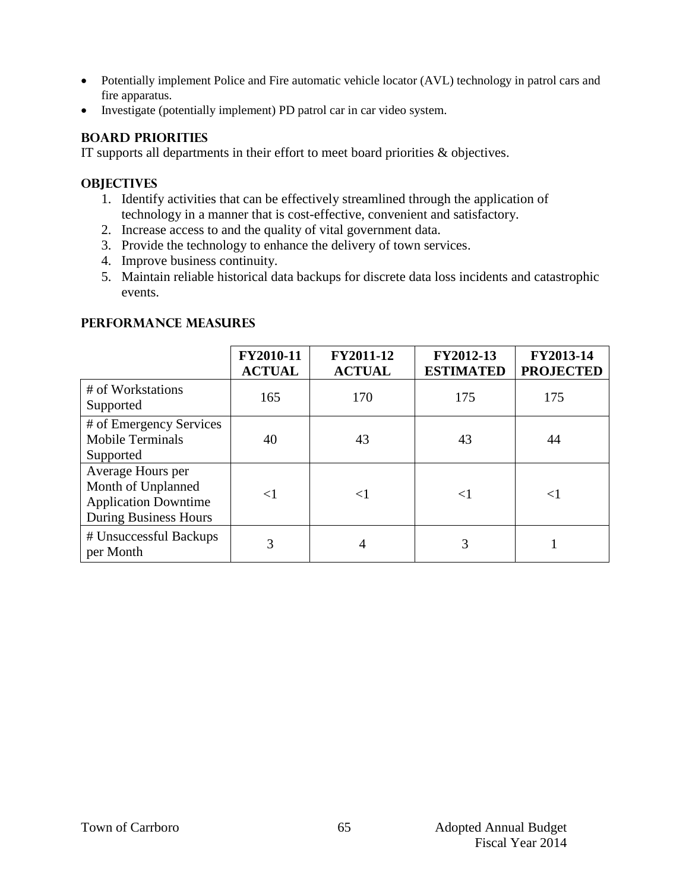- Potentially implement Police and Fire automatic vehicle locator (AVL) technology in patrol cars and fire apparatus.
- Investigate (potentially implement) PD patrol car in car video system.

#### **BOARD PRIORITIES**

IT supports all departments in their effort to meet board priorities & objectives.

#### **OBJECTIVES**

- 1. Identify activities that can be effectively streamlined through the application of technology in a manner that is cost-effective, convenient and satisfactory.
- 2. Increase access to and the quality of vital government data.
- 3. Provide the technology to enhance the delivery of town services.
- 4. Improve business continuity.
- 5. Maintain reliable historical data backups for discrete data loss incidents and catastrophic events.

#### **FY2010-11 ACTUAL FY2011-12 ACTUAL FY2012-13 ESTIMATED FY2013-14 PROJECTED** # of Workstations <sup>#</sup> Of WORStations **165** 170 175 175 175 # of Emergency Services Mobile Terminals Supported 40 43 43 43 44 Average Hours per Month of Unplanned Application Downtime During Business Hours  $\langle 1 \mid \langle 1 \mid \langle 1 \mid \langle 1 \mid \langle 1 \mid \langle 1 \rangle \rangle \rangle$ # Unsuccessful Backups  $\frac{1}{2}$  per Month  $\begin{vmatrix} 3 & 4 & 3 \\ 1 & 3 & 1 \end{vmatrix}$  1

#### **PERFORMANCE MEASURES**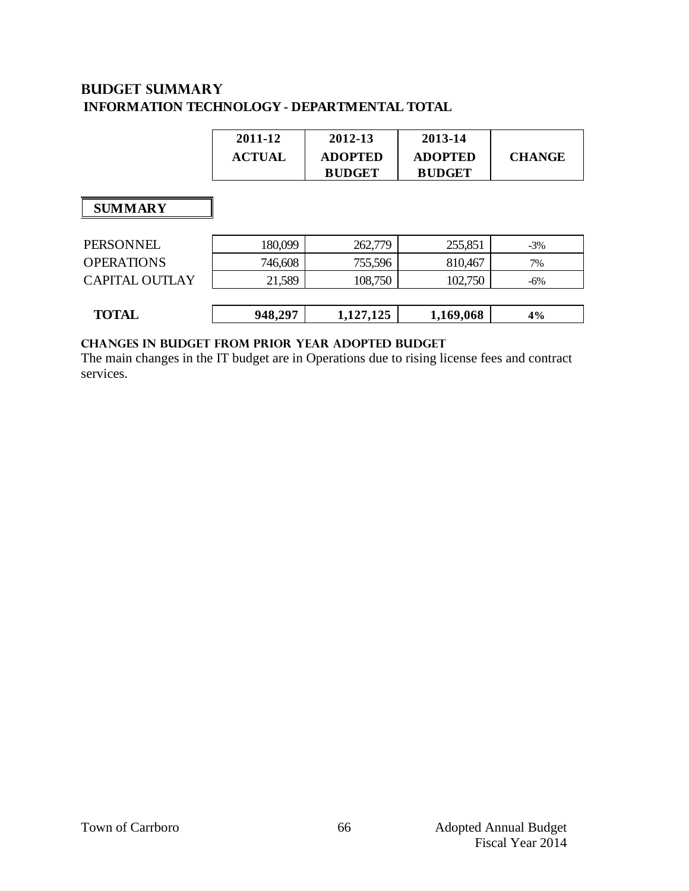## **Budget summary INFORMATION TECHNOLOGY - DEPARTMENTAL TOTAL**

| 2011-12       | 2012-13        | 2013-14        |               |
|---------------|----------------|----------------|---------------|
| <b>ACTUAL</b> | <b>ADOPTED</b> | <b>ADOPTED</b> | <b>CHANGE</b> |
|               | <b>BUDGET</b>  | <b>BUDGET</b>  |               |

### **SUMMARY**

| PERSONNEL             | 180,099 | 262,779   | 255,851   | $-3%$  |
|-----------------------|---------|-----------|-----------|--------|
| <b>OPERATIONS</b>     | 746,608 | 755,596   | 810,467   | 7%     |
| <b>CAPITAL OUTLAY</b> | 21,589  | 108,750   | 102,750   | $-6\%$ |
|                       |         |           |           |        |
| <b>TOTAL</b>          | 948,297 | 1,127,125 | 1,169,068 | $4\%$  |
|                       |         |           |           |        |

### **changes in budget from prior year adopted budget**

The main changes in the IT budget are in Operations due to rising license fees and contract services.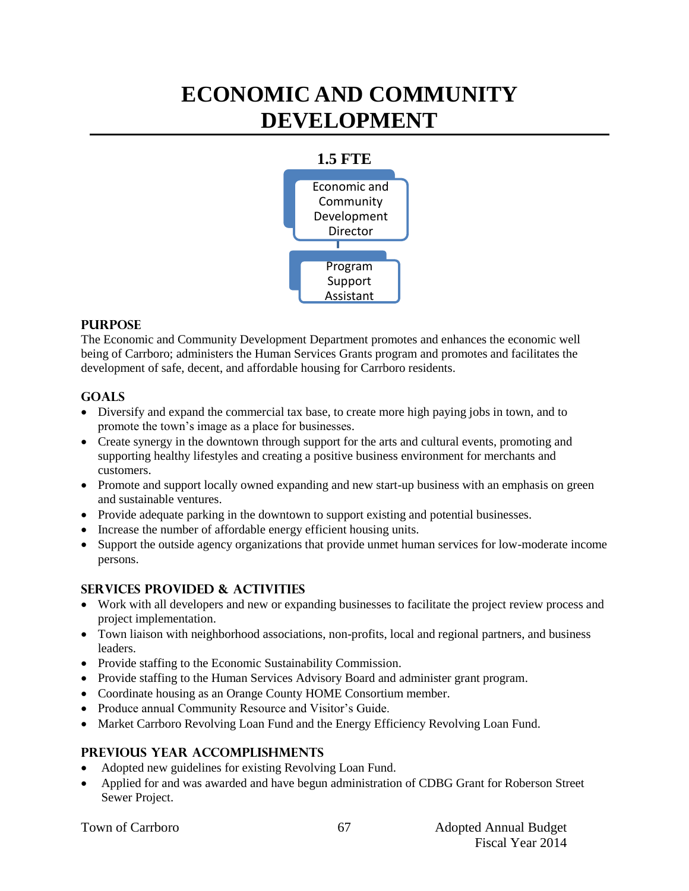## **ECONOMIC AND COMMUNITY DEVELOPMENT**



#### **PURPOSE**

The Economic and Community Development Department promotes and enhances the economic well being of Carrboro; administers the Human Services Grants program and promotes and facilitates the development of safe, decent, and affordable housing for Carrboro residents.

### **Goals**

- Diversify and expand the commercial tax base, to create more high paying jobs in town, and to promote the town's image as a place for businesses.
- Create synergy in the downtown through support for the arts and cultural events, promoting and supporting healthy lifestyles and creating a positive business environment for merchants and customers.
- Promote and support locally owned expanding and new start-up business with an emphasis on green and sustainable ventures.
- Provide adequate parking in the downtown to support existing and potential businesses.
- Increase the number of affordable energy efficient housing units.
- Support the outside agency organizations that provide unmet human services for low-moderate income persons.

## **Services provided & activities**

- Work with all developers and new or expanding businesses to facilitate the project review process and project implementation.
- Town liaison with neighborhood associations, non-profits, local and regional partners, and business leaders.
- Provide staffing to the Economic Sustainability Commission.
- Provide staffing to the Human Services Advisory Board and administer grant program.
- Coordinate housing as an Orange County HOME Consortium member.
- Produce annual Community Resource and Visitor's Guide.
- Market Carrboro Revolving Loan Fund and the Energy Efficiency Revolving Loan Fund.

#### **Previous year accomplishments**

- Adopted new guidelines for existing Revolving Loan Fund.
- Applied for and was awarded and have begun administration of CDBG Grant for Roberson Street Sewer Project.

| <b>Town of Carrboro</b> |
|-------------------------|
|                         |
|                         |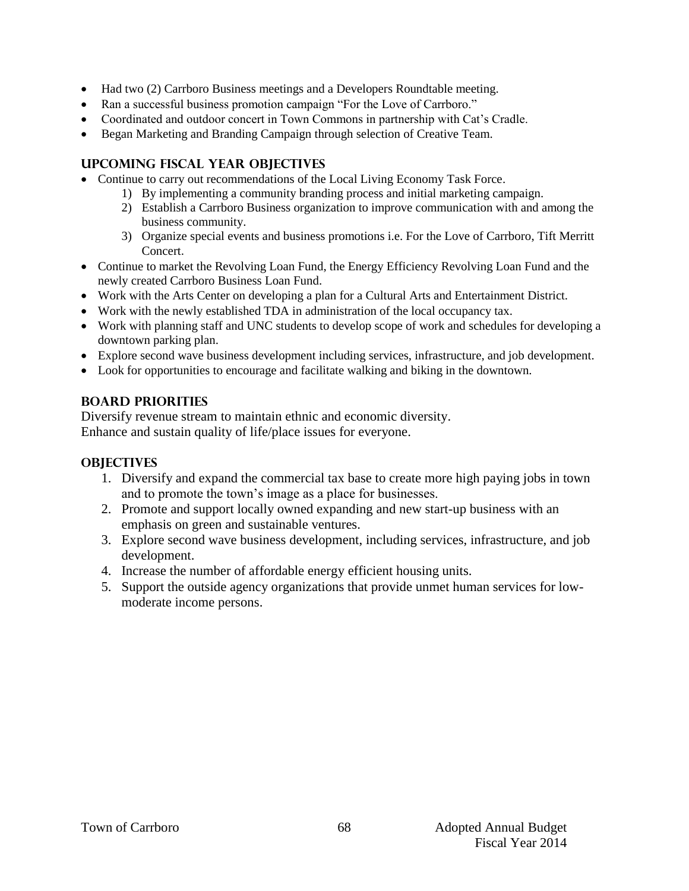- Had two (2) Carrboro Business meetings and a Developers Roundtable meeting.
- Ran a successful business promotion campaign "For the Love of Carrboro."
- Coordinated and outdoor concert in Town Commons in partnership with Cat's Cradle.
- Began Marketing and Branding Campaign through selection of Creative Team.

#### **Upcoming Fiscal year objectives**

- Continue to carry out recommendations of the Local Living Economy Task Force.
	- 1) By implementing a community branding process and initial marketing campaign.
		- 2) Establish a Carrboro Business organization to improve communication with and among the business community.
	- 3) Organize special events and business promotions i.e. For the Love of Carrboro, Tift Merritt Concert.
- Continue to market the Revolving Loan Fund, the Energy Efficiency Revolving Loan Fund and the newly created Carrboro Business Loan Fund.
- Work with the Arts Center on developing a plan for a Cultural Arts and Entertainment District.
- Work with the newly established TDA in administration of the local occupancy tax.
- Work with planning staff and UNC students to develop scope of work and schedules for developing a downtown parking plan.
- Explore second wave business development including services, infrastructure, and job development.
- Look for opportunities to encourage and facilitate walking and biking in the downtown.

## **BOARD PRIORITIES**

Diversify revenue stream to maintain ethnic and economic diversity. Enhance and sustain quality of life/place issues for everyone.

#### **OBJECTIVES**

- 1. Diversify and expand the commercial tax base to create more high paying jobs in town and to promote the town's image as a place for businesses.
- 2. Promote and support locally owned expanding and new start-up business with an emphasis on green and sustainable ventures.
- 3. Explore second wave business development, including services, infrastructure, and job development.
- 4. Increase the number of affordable energy efficient housing units.
- 5. Support the outside agency organizations that provide unmet human services for lowmoderate income persons.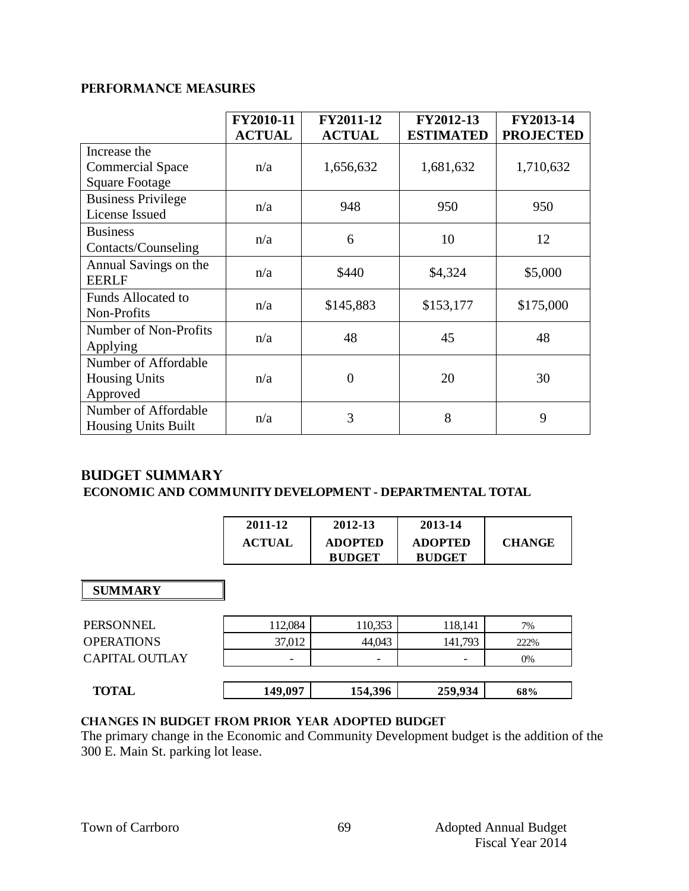#### **PERFORMANCE MEASURES**

|                            | FY2010-11     | FY2011-12      | FY2012-13        | FY2013-14        |
|----------------------------|---------------|----------------|------------------|------------------|
|                            | <b>ACTUAL</b> | <b>ACTUAL</b>  | <b>ESTIMATED</b> | <b>PROJECTED</b> |
| Increase the               |               |                |                  |                  |
| <b>Commercial Space</b>    | n/a           | 1,656,632      | 1,681,632        | 1,710,632        |
| <b>Square Footage</b>      |               |                |                  |                  |
| <b>Business Privilege</b>  | n/a           | 948            | 950              | 950              |
| License Issued             |               |                |                  |                  |
| <b>Business</b>            | n/a           | 6              | 10               | 12               |
| Contacts/Counseling        |               |                |                  |                  |
| Annual Savings on the      | n/a           | \$440          | \$4,324          | \$5,000          |
| <b>EERLF</b>               |               |                |                  |                  |
| <b>Funds Allocated to</b>  |               |                |                  |                  |
| Non-Profits                | n/a           | \$145,883      | \$153,177        | \$175,000        |
| Number of Non-Profits      | n/a           | 48             | 45               | 48               |
| Applying                   |               |                |                  |                  |
| Number of Affordable       |               |                |                  |                  |
| <b>Housing Units</b>       | n/a           | $\overline{0}$ | 20               | 30               |
| Approved                   |               |                |                  |                  |
| Number of Affordable       | n/a           | 3              | 8                | 9                |
| <b>Housing Units Built</b> |               |                |                  |                  |

### **Budget summary**

#### **ECONOMIC AND COMMUNITY DEVELOPMENT - DEPARTMENTAL TOTAL**

| 2011-12       | 2012-13        | 2013-14        |               |
|---------------|----------------|----------------|---------------|
| <b>ACTUAL</b> | <b>ADOPTED</b> | <b>ADOPTED</b> | <b>CHANGE</b> |
|               | <b>BUDGET</b>  | <b>BUDGET</b>  |               |

#### **SUMMARY**

| <b>TOTAL</b>          | 149,097 | 154,396 | 259,934                  | 68%  |
|-----------------------|---------|---------|--------------------------|------|
|                       |         |         |                          |      |
| <b>CAPITAL OUTLAY</b> |         |         | $\overline{\phantom{0}}$ | 0%   |
| <b>OPERATIONS</b>     | 37,012  | 44,043  | 141,793                  | 222% |
| PERSONNEL             | 112,084 | 110,353 | 118,141                  | 7%   |

#### **Changes in budget from prior year adopted budget**

The primary change in the Economic and Community Development budget is the addition of the 300 E. Main St. parking lot lease.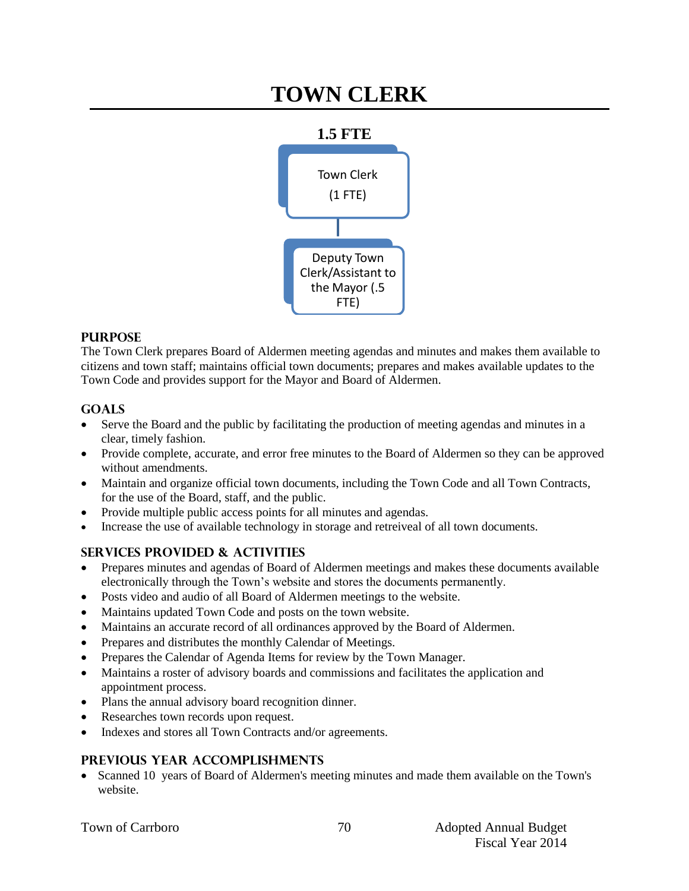## **TOWN CLERK**



#### **PURPOSE**

The Town Clerk prepares Board of Aldermen meeting agendas and minutes and makes them available to citizens and town staff; maintains official town documents; prepares and makes available updates to the Town Code and provides support for the Mayor and Board of Aldermen.

#### **Goals**

- Serve the Board and the public by facilitating the production of meeting agendas and minutes in a clear, timely fashion.
- Provide complete, accurate, and error free minutes to the Board of Aldermen so they can be approved without amendments.
- Maintain and organize official town documents, including the Town Code and all Town Contracts, for the use of the Board, staff, and the public.
- Provide multiple public access points for all minutes and agendas.
- Increase the use of available technology in storage and retreiveal of all town documents.

#### **Services provided & activities**

- Prepares minutes and agendas of Board of Aldermen meetings and makes these documents available electronically through the Town's website and stores the documents permanently.
- Posts video and audio of all Board of Aldermen meetings to the website.
- Maintains updated Town Code and posts on the town website.
- Maintains an accurate record of all ordinances approved by the Board of Aldermen.
- Prepares and distributes the monthly Calendar of Meetings.
- Prepares the Calendar of Agenda Items for review by the Town Manager.
- Maintains a roster of advisory boards and commissions and facilitates the application and appointment process.
- Plans the annual advisory board recognition dinner.
- Researches town records upon request.
- Indexes and stores all Town Contracts and/or agreements.

#### **Previous year accomplishments**

• Scanned 10 years of Board of Aldermen's meeting minutes and made them available on the Town's website.

|  |  |  | <b>Town of Carrboro</b> |
|--|--|--|-------------------------|
|--|--|--|-------------------------|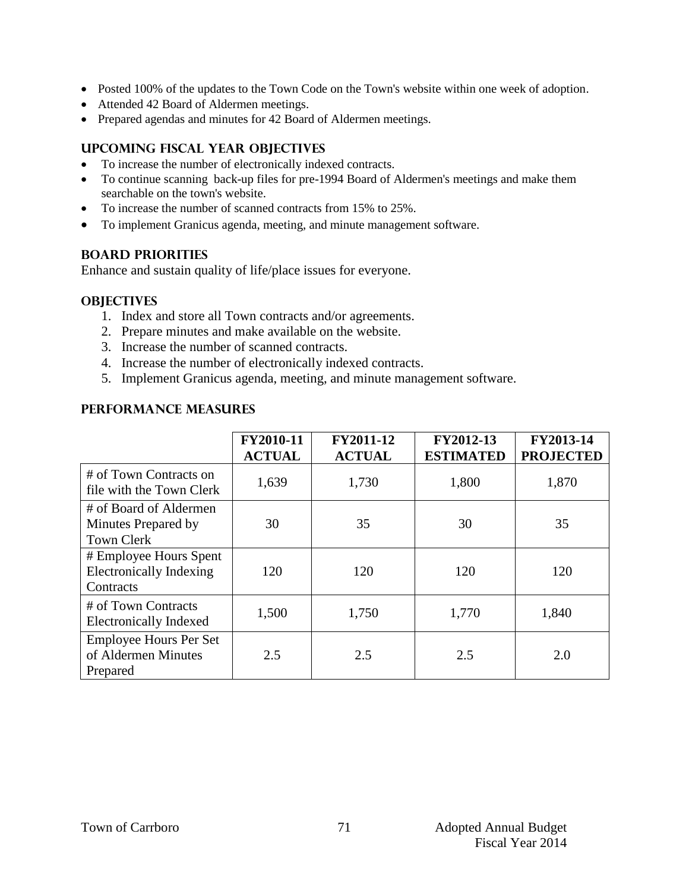- Posted 100% of the updates to the Town Code on the Town's website within one week of adoption.
- Attended 42 Board of Aldermen meetings.
- Prepared agendas and minutes for 42 Board of Aldermen meetings.

#### **Upcoming Fiscal year objectives**

- To increase the number of electronically indexed contracts.
- To continue scanning back-up files for pre-1994 Board of Aldermen's meetings and make them searchable on the town's website.
- To increase the number of scanned contracts from 15% to 25%.
- To implement Granicus agenda, meeting, and minute management software.

#### **BOARD PRIORITIES**

Enhance and sustain quality of life/place issues for everyone.

#### **OBJECTIVES**

- 1. Index and store all Town contracts and/or agreements.
- 2. Prepare minutes and make available on the website.
- 3. Increase the number of scanned contracts.
- 4. Increase the number of electronically indexed contracts.
- 5. Implement Granicus agenda, meeting, and minute management software.

#### **PERFORMANCE MEASURES**

|                                                                       | FY2010-11<br><b>ACTUAL</b> | FY2011-12<br><b>ACTUAL</b> | FY2012-13<br><b>ESTIMATED</b> | FY2013-14<br><b>PROJECTED</b> |
|-----------------------------------------------------------------------|----------------------------|----------------------------|-------------------------------|-------------------------------|
| # of Town Contracts on<br>file with the Town Clerk                    | 1,639                      | 1,730                      | 1,800                         | 1,870                         |
| # of Board of Aldermen<br>Minutes Prepared by<br><b>Town Clerk</b>    | 30                         | 35                         | 30                            | 35                            |
| # Employee Hours Spent<br><b>Electronically Indexing</b><br>Contracts | 120                        | 120                        | 120                           | 120                           |
| # of Town Contracts<br><b>Electronically Indexed</b>                  | 1,500                      | 1,750                      | 1,770                         | 1,840                         |
| <b>Employee Hours Per Set</b><br>of Aldermen Minutes<br>Prepared      | 2.5                        | 2.5                        | 2.5                           | 2.0                           |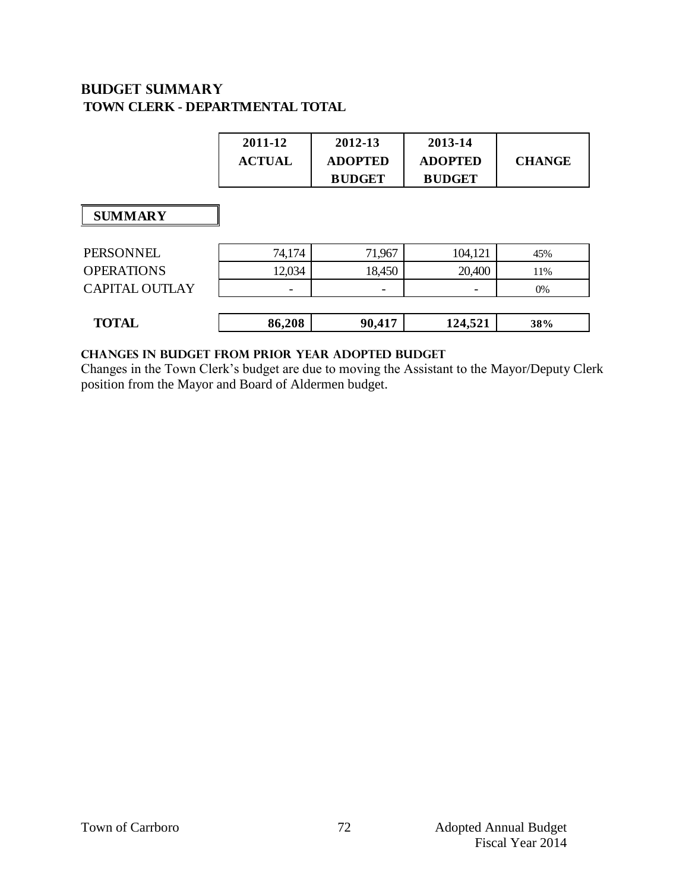## **Budget summary TOWN CLERK - DEPARTMENTAL TOTAL**

| 2011-12       | 2012-13        | 2013-14        |               |
|---------------|----------------|----------------|---------------|
| <b>ACTUAL</b> | <b>ADOPTED</b> | <b>ADOPTED</b> | <b>CHANGE</b> |
|               | <b>BUDGET</b>  | <b>BUDGET</b>  |               |

### **SUMMARY**

| <b>TOTAL</b>      | 86,208                   | 90,417 | 124,521 | 38% |
|-------------------|--------------------------|--------|---------|-----|
|                   |                          |        |         |     |
| CAPITAL OUTLAY    | $\overline{\phantom{0}}$ | -      |         | 0%  |
| <b>OPERATIONS</b> | 12,034                   | 18,450 | 20,400  | 1%  |
| PERSONNEL         | 74,174                   | 71,967 | 104,121 | 45% |

#### **Changes in budget from prior year adopted budget**

Changes in the Town Clerk's budget are due to moving the Assistant to the Mayor/Deputy Clerk position from the Mayor and Board of Aldermen budget.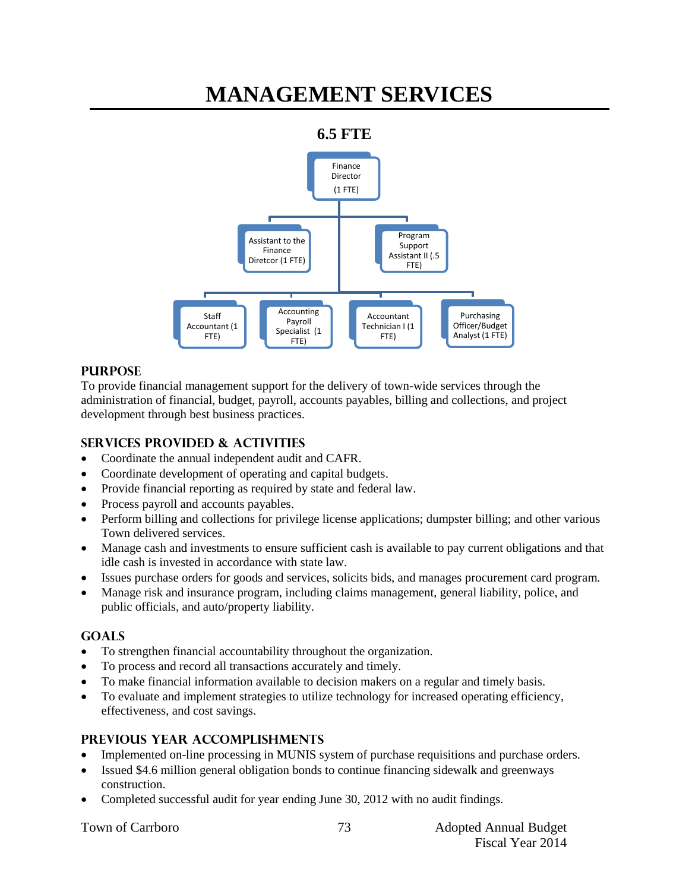## **MANAGEMENT SERVICES**

## **6.5 FTE**



### **PURPOSE**

To provide financial management support for the delivery of town-wide services through the administration of financial, budget, payroll, accounts payables, billing and collections, and project development through best business practices.

## **SERVICES PROVIDED & ACTIVITIES**

- Coordinate the annual independent audit and CAFR.
- Coordinate development of operating and capital budgets.
- Provide financial reporting as required by state and federal law.
- Process payroll and accounts payables.
- Perform billing and collections for privilege license applications; dumpster billing; and other various Town delivered services.
- Manage cash and investments to ensure sufficient cash is available to pay current obligations and that idle cash is invested in accordance with state law.
- Issues purchase orders for goods and services, solicits bids, and manages procurement card program.
- Manage risk and insurance program, including claims management, general liability, police, and public officials, and auto/property liability.

#### **GOALS**

- To strengthen financial accountability throughout the organization.
- To process and record all transactions accurately and timely.
- To make financial information available to decision makers on a regular and timely basis.
- To evaluate and implement strategies to utilize technology for increased operating efficiency, effectiveness, and cost savings.

#### **PREVIOUS YEAR ACCOMPLISHMENTS**

- Implemented on-line processing in MUNIS system of purchase requisitions and purchase orders.
- Issued \$4.6 million general obligation bonds to continue financing sidewalk and greenways construction.
- Completed successful audit for year ending June 30, 2012 with no audit findings.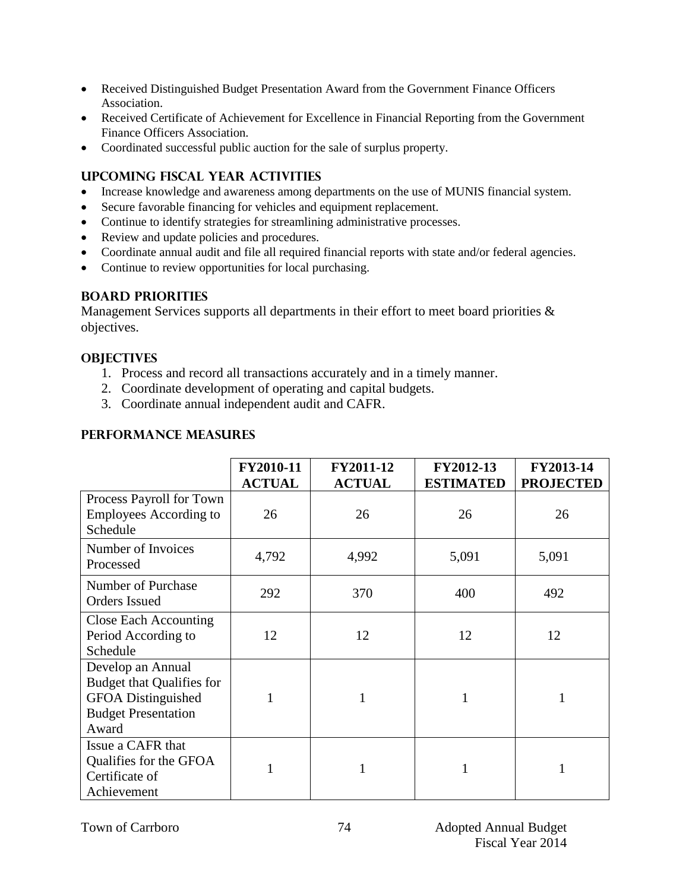- Received Distinguished Budget Presentation Award from the Government Finance Officers Association.
- Received Certificate of Achievement for Excellence in Financial Reporting from the Government Finance Officers Association.
- Coordinated successful public auction for the sale of surplus property.

## **UPCOMING FISCAL YEAR ACTIVITIES**

- Increase knowledge and awareness among departments on the use of MUNIS financial system.
- Secure favorable financing for vehicles and equipment replacement.
- Continue to identify strategies for streamlining administrative processes.
- Review and update policies and procedures.
- Coordinate annual audit and file all required financial reports with state and/or federal agencies.
- Continue to review opportunities for local purchasing.

#### **BOARD PRIORITIES**

Management Services supports all departments in their effort to meet board priorities  $\&$ objectives.

### **OBJECTIVES**

- 1. Process and record all transactions accurately and in a timely manner.
- 2. Coordinate development of operating and capital budgets.
- 3. Coordinate annual independent audit and CAFR.

## **PERFORMANCE MEASURES**

|                                                                                                                    | FY2010-11<br><b>ACTUAL</b> | FY2011-12<br><b>ACTUAL</b> | FY2012-13<br><b>ESTIMATED</b> | FY2013-14<br><b>PROJECTED</b> |
|--------------------------------------------------------------------------------------------------------------------|----------------------------|----------------------------|-------------------------------|-------------------------------|
| Process Payroll for Town<br><b>Employees According to</b><br>Schedule                                              | 26                         | 26                         | 26                            | 26                            |
| Number of Invoices<br>Processed                                                                                    | 4,792                      | 4,992                      | 5,091                         | 5,091                         |
| Number of Purchase<br><b>Orders Issued</b>                                                                         | 292                        | 370                        | 400                           | 492                           |
| <b>Close Each Accounting</b><br>Period According to<br>Schedule                                                    | 12                         | 12                         | 12                            | 12                            |
| Develop an Annual<br><b>Budget that Qualifies for</b><br>GFOA Distinguished<br><b>Budget Presentation</b><br>Award | 1                          |                            | 1                             |                               |
| Issue a CAFR that<br>Qualifies for the GFOA<br>Certificate of<br>Achievement                                       | 1                          |                            |                               |                               |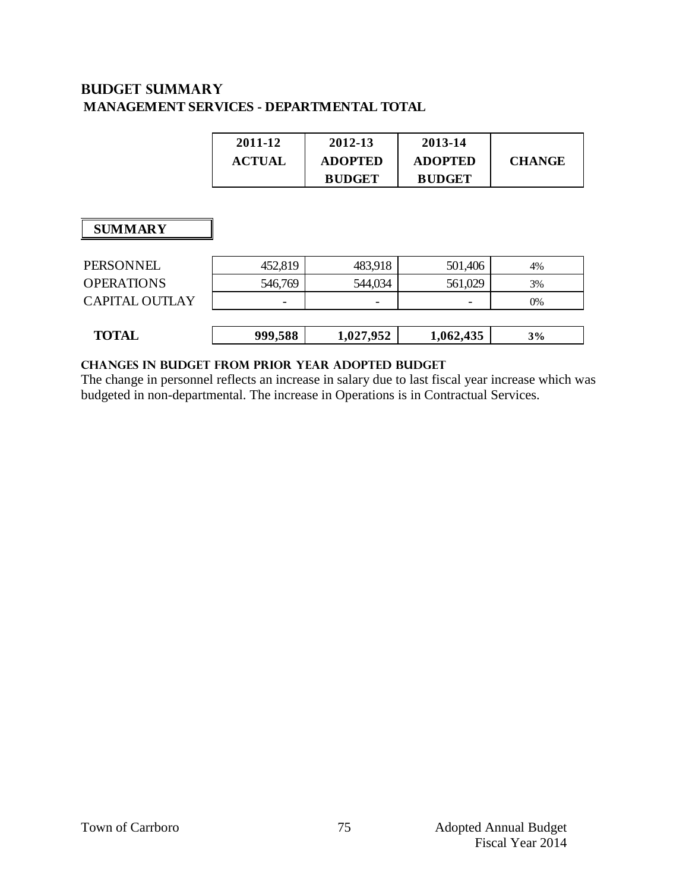## **Budget summary MANAGEMENT SERVICES - DEPARTMENTAL TOTAL**

| 2011-12       | 2012-13        | 2013-14        |               |
|---------------|----------------|----------------|---------------|
| <b>ACTUAL</b> | <b>ADOPTED</b> | <b>ADOPTED</b> | <b>CHANGE</b> |
|               | <b>BUDGET</b>  | <b>BUDGET</b>  |               |

## **SUMMARY**

| PERSONNEL             | 452,819 | 483,918   | 501,406   | 4% |
|-----------------------|---------|-----------|-----------|----|
| <b>OPERATIONS</b>     | 546,769 | 544,034   | 561,029   | 3% |
| <b>CAPITAL OUTLAY</b> |         |           |           | 0% |
|                       |         |           |           |    |
| <b>TOTAL</b>          | 999,588 | 1,027,952 | 1,062,435 | 3% |
|                       |         |           |           |    |

#### **changes in budget from prior year adopted budgeT**

The change in personnel reflects an increase in salary due to last fiscal year increase which was budgeted in non-departmental. The increase in Operations is in Contractual Services.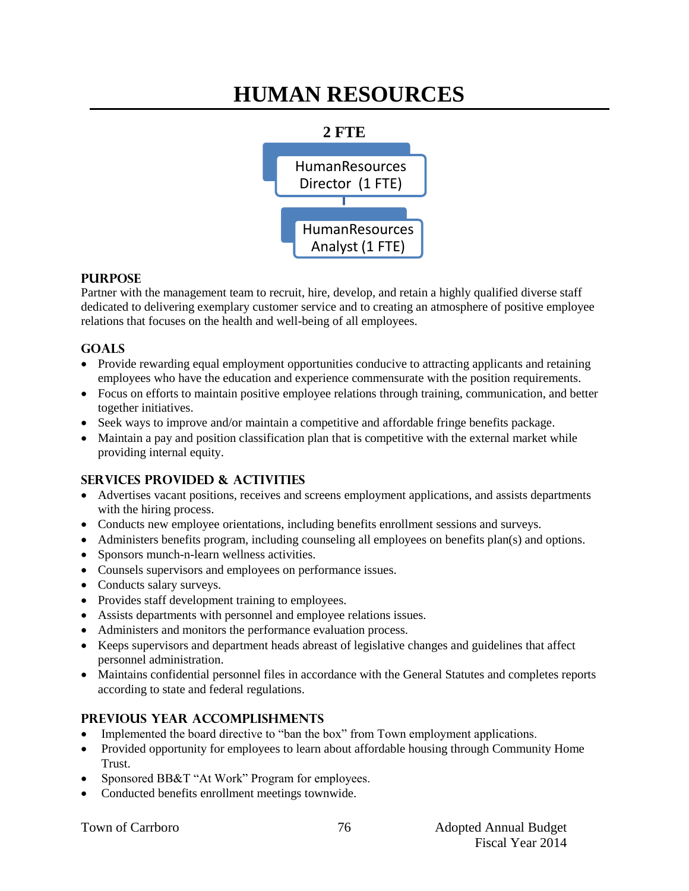## **HUMAN RESOURCES**



#### **PURPOSE**

Partner with the management team to recruit, hire, develop, and retain a highly qualified diverse staff dedicated to delivering exemplary customer service and to creating an atmosphere of positive employee relations that focuses on the health and well-being of all employees.

### **GOALS**

- Provide rewarding equal employment opportunities conducive to attracting applicants and retaining employees who have the education and experience commensurate with the position requirements.
- Focus on efforts to maintain positive employee relations through training, communication, and better together initiatives.
- Seek ways to improve and/or maintain a competitive and affordable fringe benefits package.
- Maintain a pay and position classification plan that is competitive with the external market while providing internal equity.

## **SERVICES PROVIDED & ACTIVITIES**

- Advertises vacant positions, receives and screens employment applications, and assists departments with the hiring process.
- Conducts new employee orientations, including benefits enrollment sessions and surveys.
- Administers benefits program, including counseling all employees on benefits plan(s) and options.
- Sponsors munch-n-learn wellness activities.
- Counsels supervisors and employees on performance issues.
- Conducts salary surveys.
- Provides staff development training to employees.
- Assists departments with personnel and employee relations issues.
- Administers and monitors the performance evaluation process.
- Keeps supervisors and department heads abreast of legislative changes and guidelines that affect personnel administration.
- Maintains confidential personnel files in accordance with the General Statutes and completes reports according to state and federal regulations.

## **PREVIOUS YEAR ACCOMPLISHMENTS**

- Implemented the board directive to "ban the box" from Town employment applications.
- Provided opportunity for employees to learn about affordable housing through Community Home Trust.
- Sponsored BB&T "At Work" Program for employees.
- Conducted benefits enrollment meetings townwide.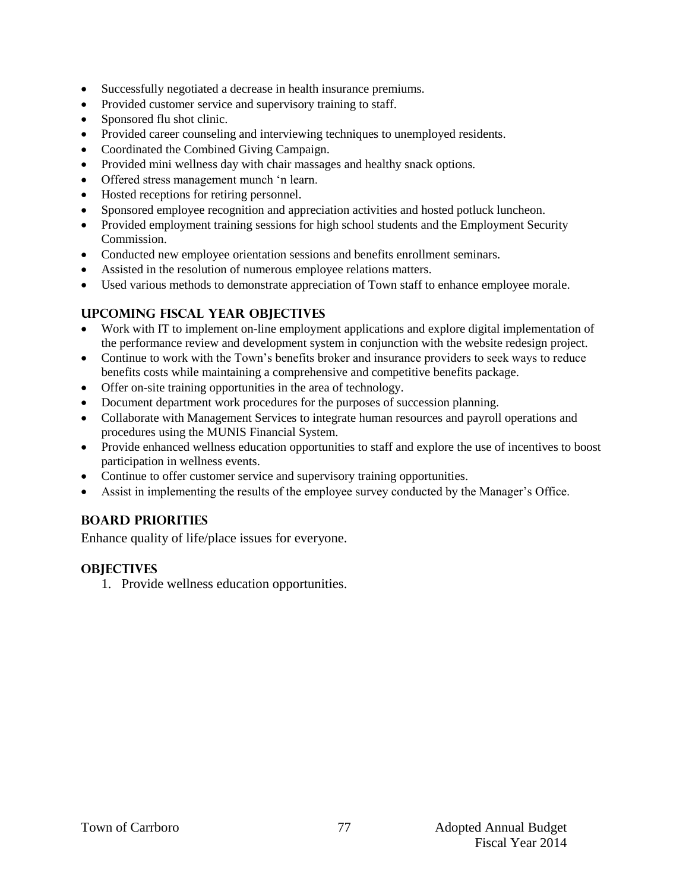- Successfully negotiated a decrease in health insurance premiums.
- Provided customer service and supervisory training to staff.
- Sponsored flu shot clinic.
- Provided career counseling and interviewing techniques to unemployed residents.
- Coordinated the Combined Giving Campaign.
- Provided mini wellness day with chair massages and healthy snack options.
- Offered stress management munch 'n learn.
- Hosted receptions for retiring personnel.
- Sponsored employee recognition and appreciation activities and hosted potluck luncheon.
- Provided employment training sessions for high school students and the Employment Security Commission.
- Conducted new employee orientation sessions and benefits enrollment seminars.
- Assisted in the resolution of numerous employee relations matters.
- Used various methods to demonstrate appreciation of Town staff to enhance employee morale.

### **UPCOMING FISCAL YEAR OBJECTIVES**

- Work with IT to implement on-line employment applications and explore digital implementation of the performance review and development system in conjunction with the website redesign project.
- Continue to work with the Town's benefits broker and insurance providers to seek ways to reduce benefits costs while maintaining a comprehensive and competitive benefits package.
- Offer on-site training opportunities in the area of technology.
- Document department work procedures for the purposes of succession planning.
- Collaborate with Management Services to integrate human resources and payroll operations and procedures using the MUNIS Financial System.
- Provide enhanced wellness education opportunities to staff and explore the use of incentives to boost participation in wellness events.
- Continue to offer customer service and supervisory training opportunities.
- Assist in implementing the results of the employee survey conducted by the Manager's Office.

#### **BOARD PRIORITIES**

Enhance quality of life/place issues for everyone.

#### **OBJECTIVES**

1. Provide wellness education opportunities.